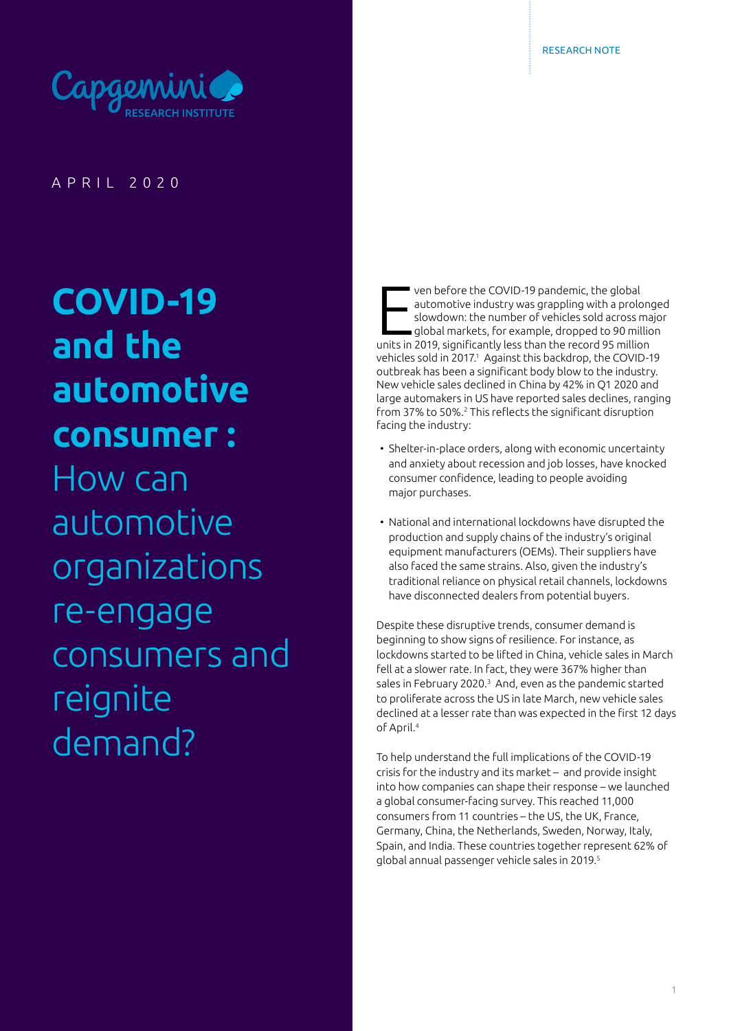

APRIL 2020

# **COVID-19 and the automotive consumer :**

How can automotive organizations re-engage consumers and reignite demand?

ven before the COVID-19 pandemic, the global<br>automotive industry was grappling with a prolon<br>slowdown: the number of vehicles sold across ma<br>global markets, for example, dropped to 90 million<br>units in 2019, significantly l ven before the COVID-19 pandemic, the global automotive industry was grappling with a prolonged slowdown: the number of vehicles sold across major  $\Box$ global markets, for example, dropped to 90 million vehicles sold in 2017.<sup>1</sup> Against this backdrop, the COVID-19 outbreak has been a significant body blow to the industry. New vehicle sales declined in China by 42% in Q1 2020 and large automakers in US have reported sales declines, ranging from 37% to 50%.<sup>2</sup> This reflects the significant disruption facing the industry:

- Shelter-in-place orders, along with economic uncertainty and anxiety about recession and job losses, have knocked consumer confidence, leading to people avoiding major purchases.
- National and international lockdowns have disrupted the production and supply chains of the industry's original equipment manufacturers (OEMs). Their suppliers have also faced the same strains. Also, given the industry's traditional reliance on physical retail channels, lockdowns have disconnected dealers from potential buyers.

Despite these disruptive trends, consumer demand is beginning to show signs of resilience. For instance, as lockdowns started to be lifted in China, vehicle sales in March fell at a slower rate. In fact, they were 367% higher than sales in February 2020.<sup>3</sup> And, even as the pandemic started to proliferate across the US in late March, new vehicle sales declined at a lesser rate than was expected in the first 12 days of April.4

To help understand the full implications of the COVID-19 crisis for the industry and its market – and provide insight into how companies can shape their response – we launched a global consumer-facing survey. This reached 11,000 consumers from 11 countries – the US, the UK, France, Germany, China, the Netherlands, Sweden, Norway, Italy, Spain, and India. These countries together represent 62% of global annual passenger vehicle sales in 2019.<sup>5</sup>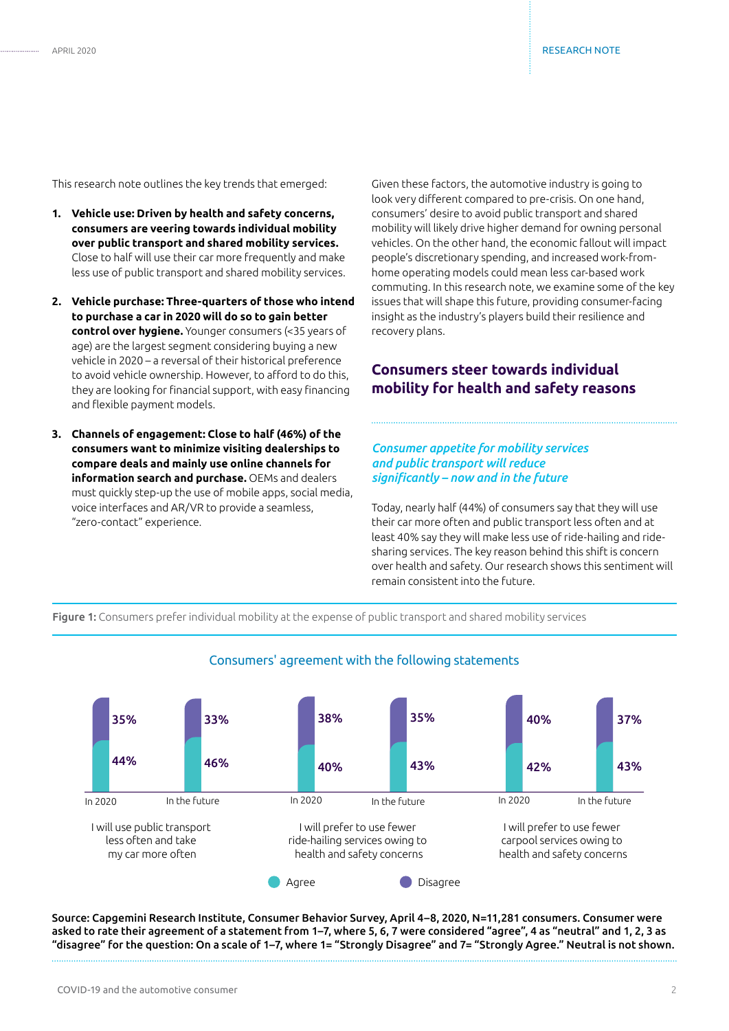This research note outlines the key trends that emerged:

- **1. Vehicle use: Driven by health and safety concerns, consumers are veering towards individual mobility over public transport and shared mobility services.** Close to half will use their car more frequently and make less use of public transport and shared mobility services.
- **2. Vehicle purchase: Three-quarters of those who intend to purchase a car in 2020 will do so to gain better control over hygiene.** Younger consumers (<35 years of age) are the largest segment considering buying a new vehicle in 2020 – a reversal of their historical preference to avoid vehicle ownership. However, to afford to do this, they are looking for financial support, with easy financing and flexible payment models.
- **3. Channels of engagement: Close to half (46%) of the consumers want to minimize visiting dealerships to compare deals and mainly use online channels for information search and purchase.** OEMs and dealers must quickly step-up the use of mobile apps, social media, voice interfaces and AR/VR to provide a seamless, "zero-contact" experience.

Given these factors, the automotive industry is going to look very different compared to pre-crisis. On one hand, consumers' desire to avoid public transport and shared mobility will likely drive higher demand for owning personal vehicles. On the other hand, the economic fallout will impact people's discretionary spending, and increased work-fromhome operating models could mean less car-based work commuting. In this research note, we examine some of the key issues that will shape this future, providing consumer-facing insight as the industry's players build their resilience and recovery plans.

# **Consumers steer towards individual mobility for health and safety reasons**

#### *Consumer appetite for mobility services and public transport will reduce significantly – now and in the future*

Today, nearly half (44%) of consumers say that they will use their car more often and public transport less often and at least 40% say they will make less use of ride-hailing and ridesharing services. The key reason behind this shift is concern over health and safety. Our research shows this sentiment will remain consistent into the future.

Figure 1: Consumers prefer individual mobility at the expense of public transport and shared mobility services



#### Consumers' agreement with the following statements

Source: Capgemini Research Institute, Consumer Behavior Survey, April 4–8, 2020, N=11,281 consumers. Consumer were asked to rate their agreement of a statement from 1–7, where 5, 6, 7 were considered "agree", 4 as "neutral" and 1, 2, 3 as "disagree" for the question: On a scale of 1–7, where 1= "Strongly Disagree" and 7= "Strongly Agree." Neutral is not shown.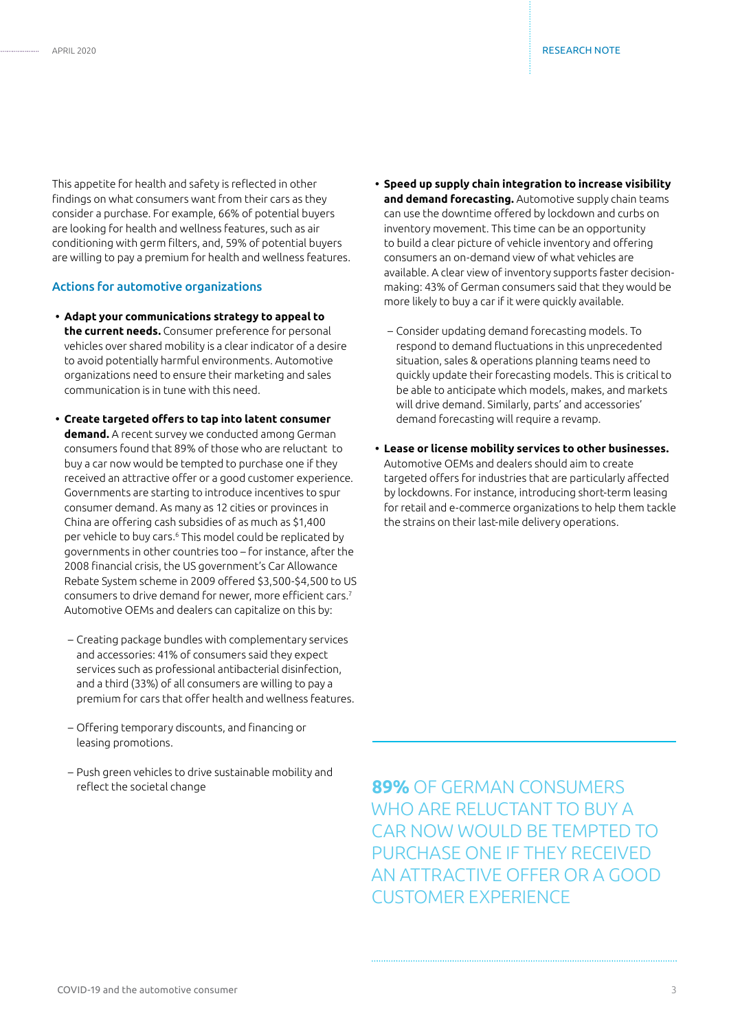This appetite for health and safety is reflected in other findings on what consumers want from their cars as they consider a purchase. For example, 66% of potential buyers are looking for health and wellness features, such as air conditioning with germ filters, and, 59% of potential buyers are willing to pay a premium for health and wellness features.

#### Actions for automotive organizations

- **• Adapt your communications strategy to appeal to the current needs.** Consumer preference for personal vehicles over shared mobility is a clear indicator of a desire to avoid potentially harmful environments. Automotive organizations need to ensure their marketing and sales communication is in tune with this need.
- **• Create targeted offers to tap into latent consumer demand.** A recent survey we conducted among German consumers found that 89% of those who are reluctant to buy a car now would be tempted to purchase one if they received an attractive offer or a good customer experience. Governments are starting to introduce incentives to spur consumer demand. As many as 12 cities or provinces in China are offering cash subsidies of as much as \$1,400 per vehicle to buy cars.6 This model could be replicated by governments in other countries too – for instance, after the 2008 financial crisis, the US government's Car Allowance Rebate System scheme in 2009 offered \$3,500-\$4,500 to US consumers to drive demand for newer, more efficient cars.<sup>7</sup> Automotive OEMs and dealers can capitalize on this by:
	- Creating package bundles with complementary services and accessories: 41% of consumers said they expect services such as professional antibacterial disinfection, and a third (33%) of all consumers are willing to pay a premium for cars that offer health and wellness features.
	- Offering temporary discounts, and financing or leasing promotions.
	- Push green vehicles to drive sustainable mobility and reflect the societal change

**• Speed up supply chain integration to increase visibility and demand forecasting.** Automotive supply chain teams can use the downtime offered by lockdown and curbs on inventory movement. This time can be an opportunity to build a clear picture of vehicle inventory and offering consumers an on-demand view of what vehicles are available. A clear view of inventory supports faster decisionmaking: 43% of German consumers said that they would be more likely to buy a car if it were quickly available.

- Consider updating demand forecasting models. To respond to demand fluctuations in this unprecedented situation, sales & operations planning teams need to quickly update their forecasting models. This is critical to be able to anticipate which models, makes, and markets will drive demand. Similarly, parts' and accessories' demand forecasting will require a revamp.
- **• Lease or license mobility services to other businesses.**  Automotive OEMs and dealers should aim to create targeted offers for industries that are particularly affected by lockdowns. For instance, introducing short-term leasing for retail and e-commerce organizations to help them tackle the strains on their last-mile delivery operations.

**89%** OF GERMAN CONSUMERS WHO ARE RELUCTANT TO BUY A CAR NOW WOULD BE TEMPTED TO PURCHASE ONE IF THEY RECEIVED AN ATTRACTIVE OFFER OR A GOOD CUSTOMER EXPERIENCE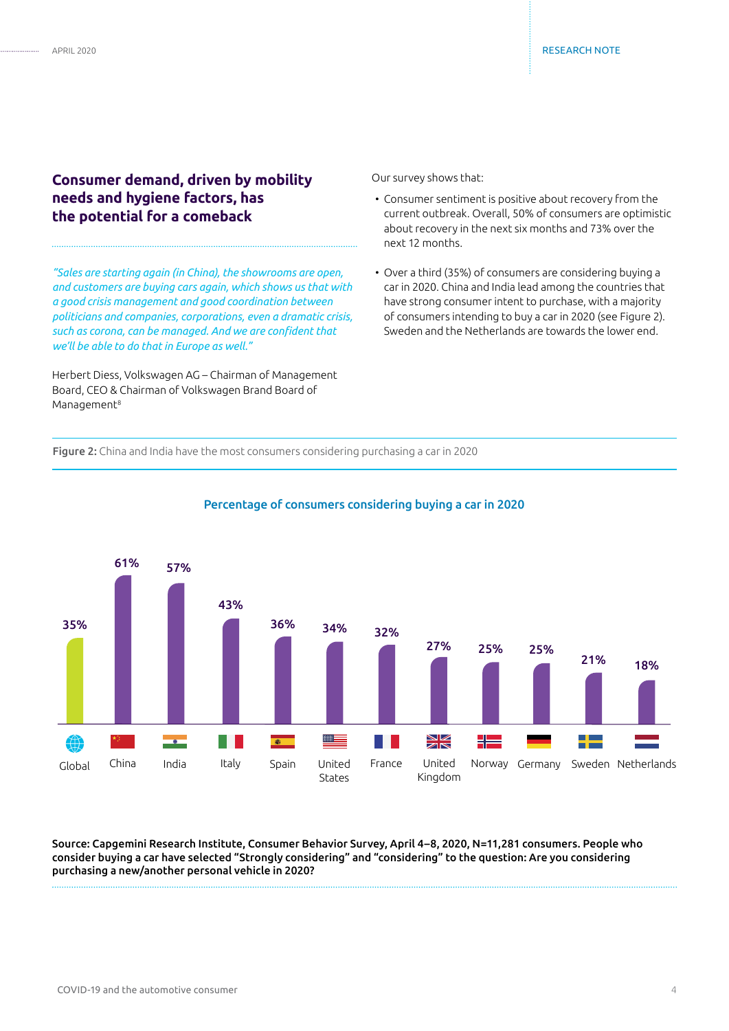# **Consumer demand, driven by mobility needs and hygiene factors, has the potential for a comeback**

*"Sales are starting again (in China), the showrooms are open, and customers are buying cars again, which shows us that with a good crisis management and good coordination between politicians and companies, corporations, even a dramatic crisis, such as corona, can be managed. And we are confident that we'll be able to do that in Europe as well."*

Herbert Diess, Volkswagen AG – Chairman of Management Board, CEO & Chairman of Volkswagen Brand Board of Management<sup>8</sup>

Our survey shows that:

- Consumer sentiment is positive about recovery from the current outbreak. Overall, 50% of consumers are optimistic about recovery in the next six months and 73% over the next 12 months.
- Over a third (35%) of consumers are considering buying a car in 2020. China and India lead among the countries that have strong consumer intent to purchase, with a majority of consumers intending to buy a car in 2020 (see Figure 2). Sweden and the Netherlands are towards the lower end.

Figure 2: China and India have the most consumers considering purchasing a car in 2020



#### Percentage of consumers considering buying a car in 2020

Source: Capgemini Research Institute, Consumer Behavior Survey, April 4–8, 2020, N=11,281 consumers. People who consider buying a car have selected "Strongly considering" and "considering" to the question: Are you considering purchasing a new/another personal vehicle in 2020?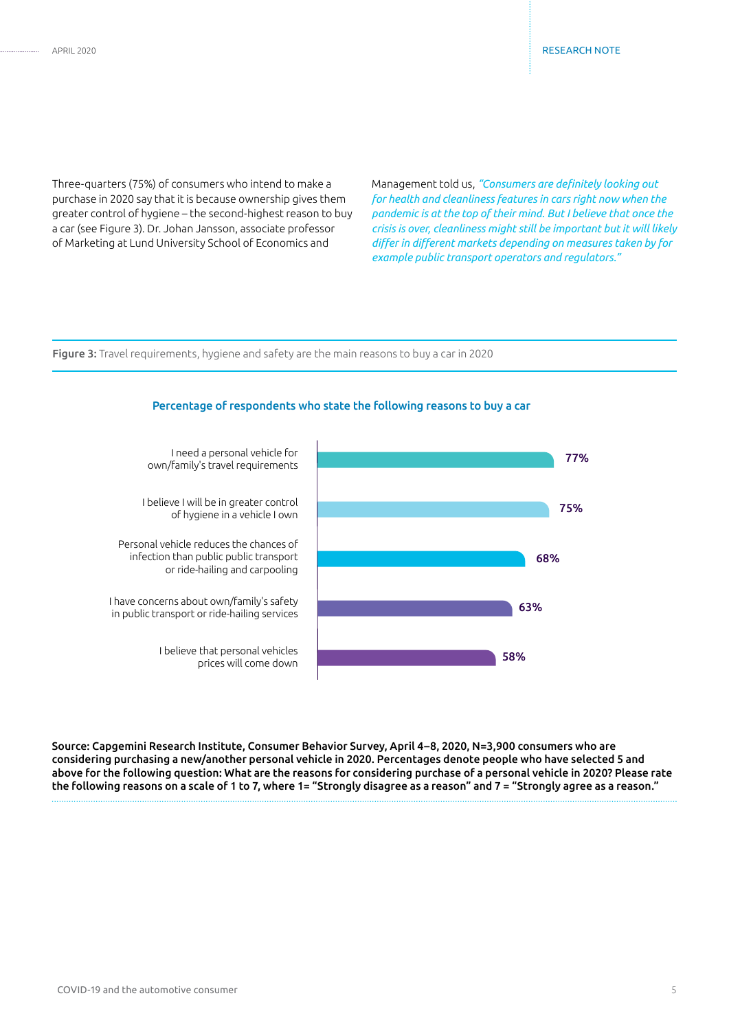Three-quarters (75%) of consumers who intend to make a purchase in 2020 say that it is because ownership gives them greater control of hygiene – the second-highest reason to buy a car (see Figure 3). Dr. Johan Jansson, associate professor of Marketing at Lund University School of Economics and

Management told us, *"Consumers are definitely looking out for health and cleanliness features in cars right now when the pandemic is at the top of their mind. But I believe that once the crisis is over, cleanliness might still be important but it will likely differ in different markets depending on measures taken by for example public transport operators and regulators."*

#### Figure 3: Travel requirements, hygiene and safety are the main reasons to buy a car in 2020



Percentage of respondents who state the following reasons to buy a car

Source: Capgemini Research Institute, Consumer Behavior Survey, April 4–8, 2020, N=3,900 consumers who are considering purchasing a new/another personal vehicle in 2020. Percentages denote people who have selected 5 and above for the following question: What are the reasons for considering purchase of a personal vehicle in 2020? Please rate the following reasons on a scale of 1 to 7, where 1= "Strongly disagree as a reason" and 7 = "Strongly agree as a reason."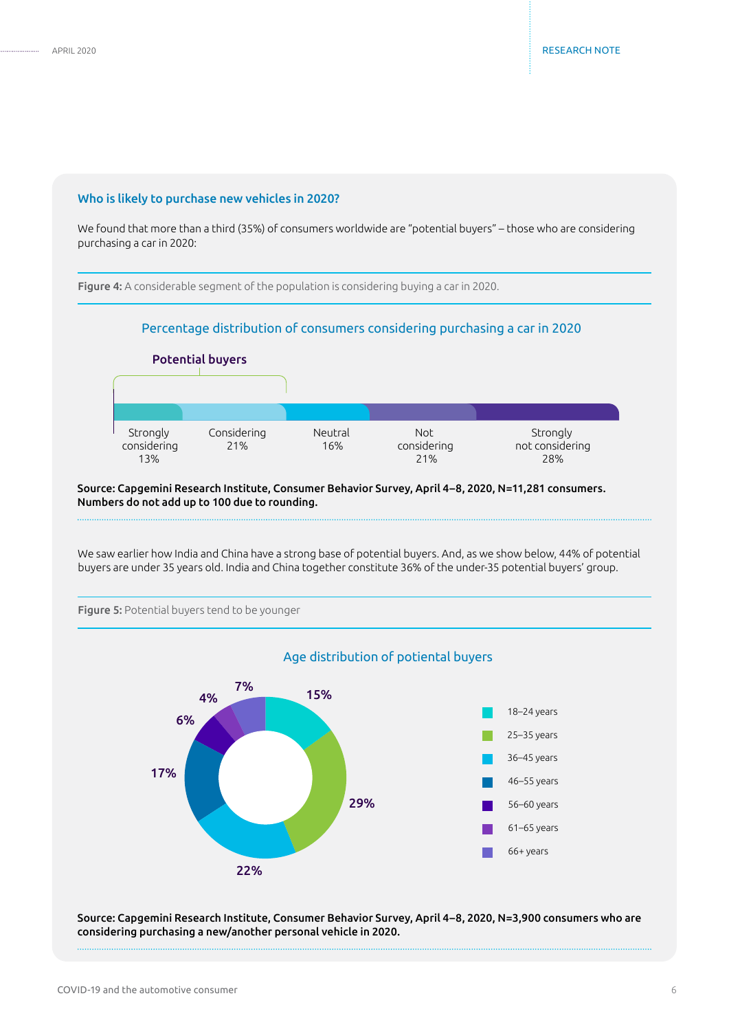#### Who is likely to purchase new vehicles in 2020?

We found that more than a third (35%) of consumers worldwide are "potential buyers" – those who are considering purchasing a car in 2020:

Figure 4: A considerable segment of the population is considering buying a car in 2020.

#### Percentage distribution of consumers considering purchasing a car in 2020



Source: Capgemini Research Institute, Consumer Behavior Survey, April 4–8, 2020, N=11,281 consumers. Numbers do not add up to 100 due to rounding.

We saw earlier how India and China have a strong base of potential buyers. And, as we show below, 44% of potential buyers are under 35 years old. India and China together constitute 36% of the under-35 potential buyers' group.



# Figure 5: Potential buyers tend to be younger

Source: Capgemini Research Institute, Consumer Behavior Survey, April 4–8, 2020, N=3,900 consumers who are considering purchasing a new/another personal vehicle in 2020.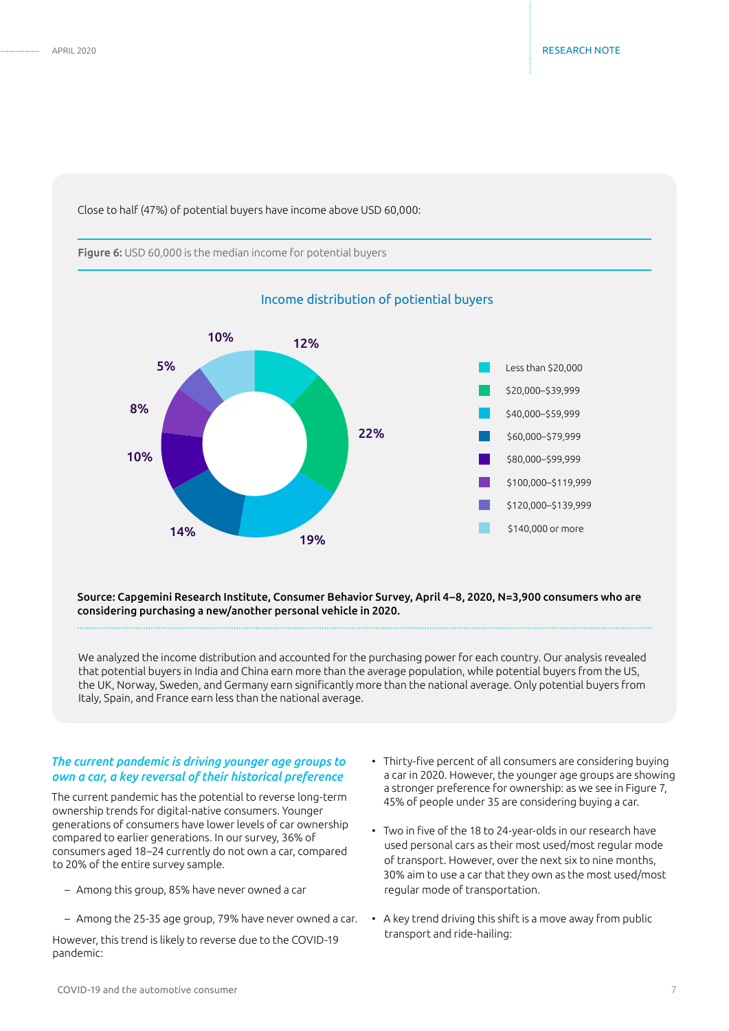Close to half (47%) of potential buyers have income above USD 60,000:

Figure 6: USD 60,000 is the median income for potential buyers



Source: Capgemini Research Institute, Consumer Behavior Survey, April 4–8, 2020, N=3,900 consumers who are considering purchasing a new/another personal vehicle in 2020.

We analyzed the income distribution and accounted for the purchasing power for each country. Our analysis revealed that potential buyers in India and China earn more than the average population, while potential buyers from the US, the UK, Norway, Sweden, and Germany earn significantly more than the national average. Only potential buyers from Italy, Spain, and France earn less than the national average.

#### *The current pandemic is driving younger age groups to own a car, a key reversal of their historical preference*

The current pandemic has the potential to reverse long-term ownership trends for digital-native consumers. Younger generations of consumers have lower levels of car ownership compared to earlier generations. In our survey, 36% of consumers aged 18–24 currently do not own a car, compared to 20% of the entire survey sample.

- Among this group, 85% have never owned a car
- Among the 25-35 age group, 79% have never owned a car.

However, this trend is likely to reverse due to the COVID-19 pandemic:

- Thirty-five percent of all consumers are considering buying a car in 2020. However, the younger age groups are showing a stronger preference for ownership: as we see in Figure 7, 45% of people under 35 are considering buying a car.
- Two in five of the 18 to 24-year-olds in our research have used personal cars as their most used/most regular mode of transport. However, over the next six to nine months, 30% aim to use a car that they own as the most used/most regular mode of transportation.
- A key trend driving this shift is a move away from public transport and ride-hailing: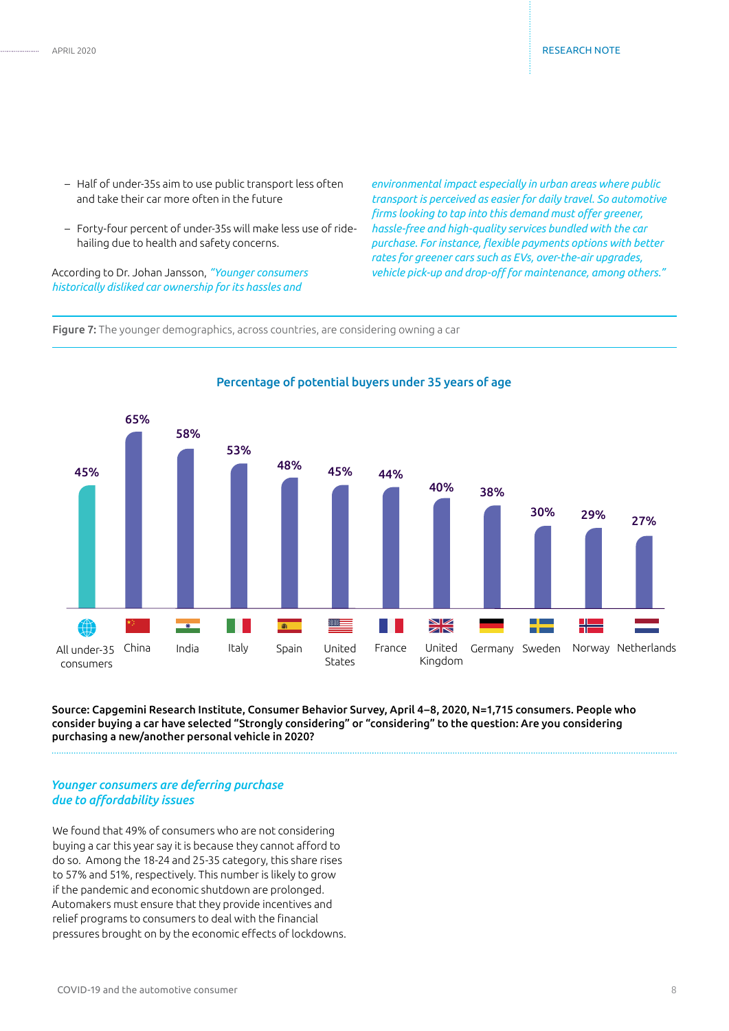- Half of under-35s aim to use public transport less often and take their car more often in the future
- Forty-four percent of under-35s will make less use of ridehailing due to health and safety concerns.

According to Dr. Johan Jansson, *"Younger consumers historically disliked car ownership for its hassles and* 

*environmental impact especially in urban areas where public transport is perceived as easier for daily travel. So automotive firms looking to tap into this demand must offer greener, hassle-free and high-quality services bundled with the car purchase. For instance, flexible payments options with better rates for greener cars such as EVs, over-the-air upgrades, vehicle pick-up and drop-off for maintenance, among others."*

Figure 7: The younger demographics, across countries, are considering owning a car



# Percentage of potential buyers under 35 years of age

Source: Capgemini Research Institute, Consumer Behavior Survey, April 4–8, 2020, N=1,715 consumers. People who consider buying a car have selected "Strongly considering" or "considering" to the question: Are you considering purchasing a new/another personal vehicle in 2020?

#### *Younger consumers are deferring purchase due to affordability issues*

We found that 49% of consumers who are not considering buying a car this year say it is because they cannot afford to do so. Among the 18-24 and 25-35 category, this share rises to 57% and 51%, respectively. This number is likely to grow if the pandemic and economic shutdown are prolonged. Automakers must ensure that they provide incentives and relief programs to consumers to deal with the financial pressures brought on by the economic effects of lockdowns.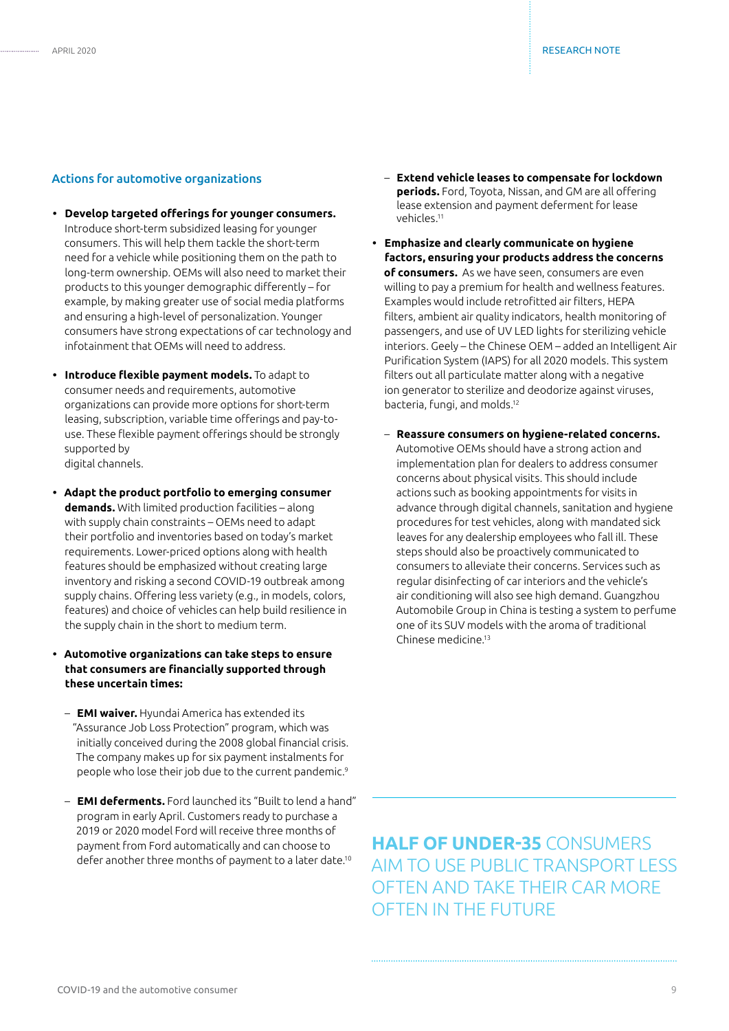#### Actions for automotive organizations

- **• Develop targeted offerings for younger consumers.** Introduce short-term subsidized leasing for younger consumers. This will help them tackle the short-term need for a vehicle while positioning them on the path to long-term ownership. OEMs will also need to market their products to this younger demographic differently – for example, by making greater use of social media platforms and ensuring a high-level of personalization. Younger consumers have strong expectations of car technology and infotainment that OEMs will need to address.
- **• Introduce flexible payment models.** To adapt to consumer needs and requirements, automotive organizations can provide more options for short-term leasing, subscription, variable time offerings and pay-touse. These flexible payment offerings should be strongly supported by digital channels.
- **• Adapt the product portfolio to emerging consumer demands.** With limited production facilities – along with supply chain constraints – OEMs need to adapt their portfolio and inventories based on today's market requirements. Lower-priced options along with health features should be emphasized without creating large inventory and risking a second COVID-19 outbreak among supply chains. Offering less variety (e.g., in models, colors, features) and choice of vehicles can help build resilience in the supply chain in the short to medium term.
- **• Automotive organizations can take steps to ensure that consumers are financially supported through these uncertain times:**
	- **EMI waiver.** Hyundai America has extended its "Assurance Job Loss Protection" program, which was initially conceived during the 2008 global financial crisis. The company makes up for six payment instalments for people who lose their job due to the current pandemic.9
	- **EMI deferments.** Ford launched its "Built to lend a hand" program in early April. Customers ready to purchase a 2019 or 2020 model Ford will receive three months of payment from Ford automatically and can choose to defer another three months of payment to a later date.10
- **Extend vehicle leases to compensate for lockdown periods.** Ford, Toyota, Nissan, and GM are all offering lease extension and payment deferment for lease vehicles.11
- **• Emphasize and clearly communicate on hygiene factors, ensuring your products address the concerns of consumers.** As we have seen, consumers are even willing to pay a premium for health and wellness features. Examples would include retrofitted air filters, HEPA filters, ambient air quality indicators, health monitoring of passengers, and use of UV LED lights for sterilizing vehicle interiors. Geely – the Chinese OEM – added an Intelligent Air Purification System (IAPS) for all 2020 models. This system filters out all particulate matter along with a negative ion generator to sterilize and deodorize against viruses, bacteria, fungi, and molds.12
	- **Reassure consumers on hygiene-related concerns.** Automotive OEMs should have a strong action and implementation plan for dealers to address consumer concerns about physical visits. This should include actions such as booking appointments for visits in advance through digital channels, sanitation and hygiene procedures for test vehicles, along with mandated sick leaves for any dealership employees who fall ill. These steps should also be proactively communicated to consumers to alleviate their concerns. Services such as regular disinfecting of car interiors and the vehicle's air conditioning will also see high demand. Guangzhou Automobile Group in China is testing a system to perfume one of its SUV models with the aroma of traditional Chinese medicine<sup>13</sup>

**HALF OF UNDER-35** CONSUMERS AIM TO USE PUBLIC TRANSPORT LESS OFTEN AND TAKE THEIR CAR MORE OFTEN IN THE FUTURE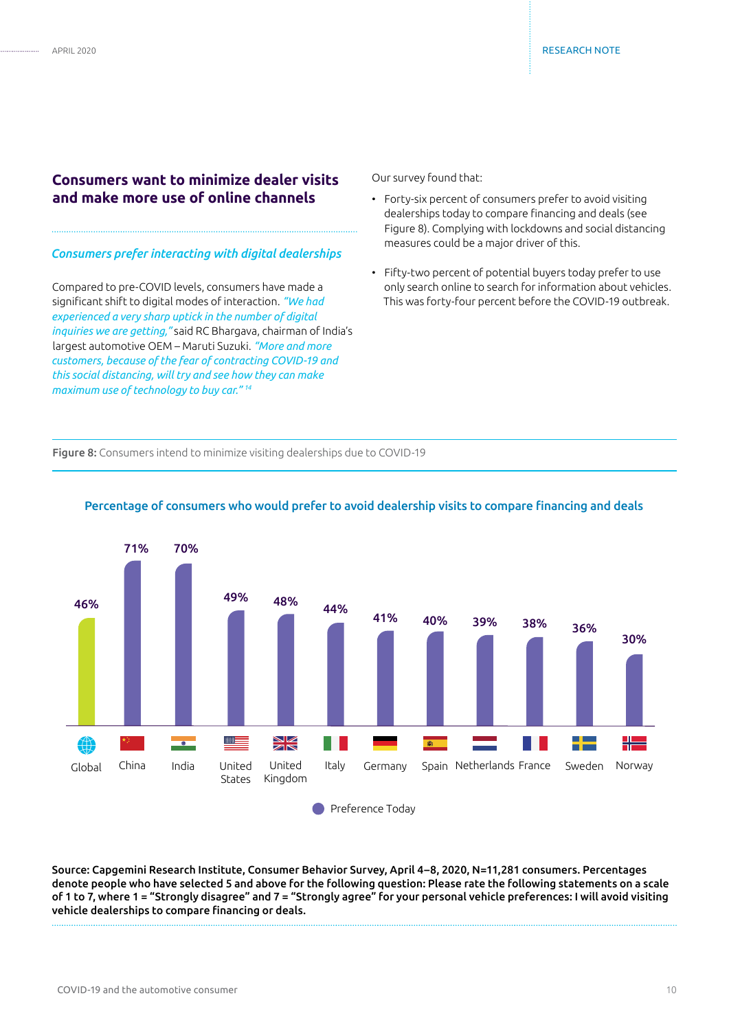# **Consumers want to minimize dealer visits and make more use of online channels**

#### *Consumers prefer interacting with digital dealerships*

Compared to pre-COVID levels, consumers have made a significant shift to digital modes of interaction. *"We had experienced a very sharp uptick in the number of digital inquiries we are getting,"* said RC Bhargava, chairman of India's largest automotive OEM – Maruti Suzuki. *"More and more customers, because of the fear of contracting COVID-19 and this social distancing, will try and see how they can make maximum use of technology to buy car." 14*

Our survey found that:

- Forty-six percent of consumers prefer to avoid visiting dealerships today to compare financing and deals (see Figure 8). Complying with lockdowns and social distancing measures could be a major driver of this.
- Fifty-two percent of potential buyers today prefer to use only search online to search for information about vehicles. This was forty-four percent before the COVID-19 outbreak.

Figure 8: Consumers intend to minimize visiting dealerships due to COVID-19



#### Percentage of consumers who would prefer to avoid dealership visits to compare financing and deals

Source: Capgemini Research Institute, Consumer Behavior Survey, April 4–8, 2020, N=11,281 consumers. Percentages denote people who have selected 5 and above for the following question: Please rate the following statements on a scale of 1 to 7, where 1 = "Strongly disagree" and 7 = "Strongly agree" for your personal vehicle preferences: I will avoid visiting vehicle dealerships to compare financing or deals.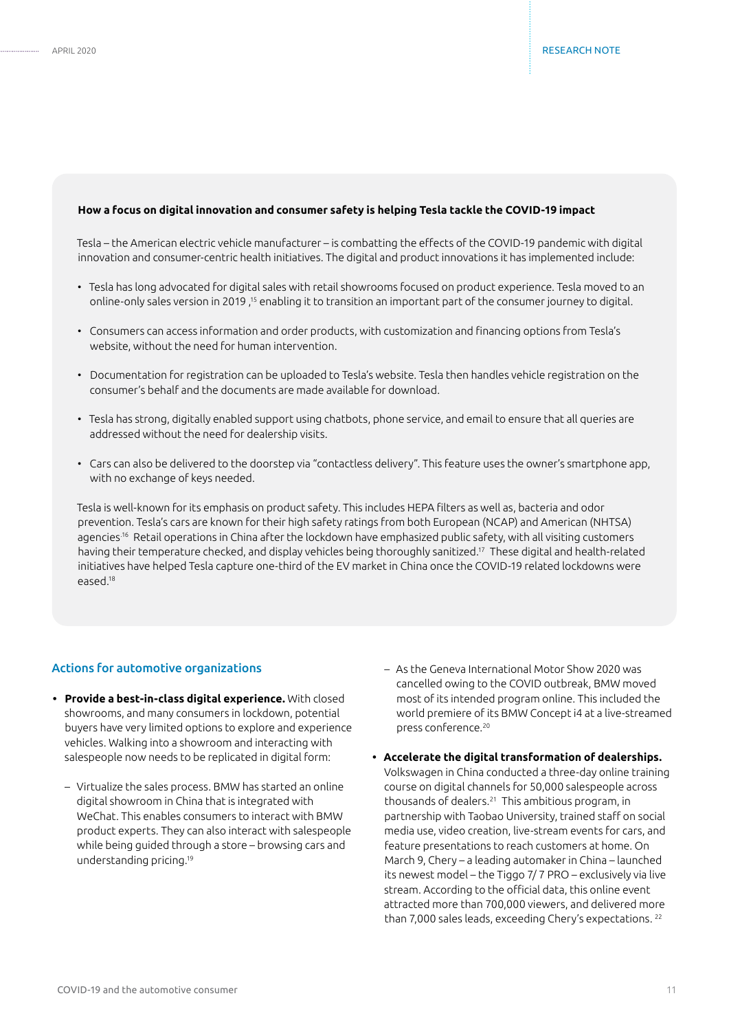#### **How a focus on digital innovation and consumer safety is helping Tesla tackle the COVID-19 impact**

Tesla – the American electric vehicle manufacturer – is combatting the effects of the COVID-19 pandemic with digital innovation and consumer-centric health initiatives. The digital and product innovations it has implemented include:

- Tesla has long advocated for digital sales with retail showrooms focused on product experience. Tesla moved to an online-only sales version in 2019,<sup>15</sup> enabling it to transition an important part of the consumer journey to digital.
- Consumers can access information and order products, with customization and financing options from Tesla's website, without the need for human intervention.
- Documentation for registration can be uploaded to Tesla's website. Tesla then handles vehicle registration on the consumer's behalf and the documents are made available for download.
- Tesla has strong, digitally enabled support using chatbots, phone service, and email to ensure that all queries are addressed without the need for dealership visits.
- Cars can also be delivered to the doorstep via "contactless delivery". This feature uses the owner's smartphone app, with no exchange of keys needed.

Tesla is well-known for its emphasis on product safety. This includes HEPA filters as well as, bacteria and odor prevention. Tesla's cars are known for their high safety ratings from both European (NCAP) and American (NHTSA) agencies.<sup>16</sup> Retail operations in China after the lockdown have emphasized public safety, with all visiting customers having their temperature checked, and display vehicles being thoroughly sanitized.17 These digital and health-related initiatives have helped Tesla capture one-third of the EV market in China once the COVID-19 related lockdowns were eased.18

#### Actions for automotive organizations

- **• Provide a best-in-class digital experience.** With closed showrooms, and many consumers in lockdown, potential buyers have very limited options to explore and experience vehicles. Walking into a showroom and interacting with salespeople now needs to be replicated in digital form:
	- Virtualize the sales process. BMW has started an online digital showroom in China that is integrated with WeChat. This enables consumers to interact with BMW product experts. They can also interact with salespeople while being guided through a store – browsing cars and understanding pricing.19
- As the Geneva International Motor Show 2020 was cancelled owing to the COVID outbreak, BMW moved most of its intended program online. This included the world premiere of its BMW Concept i4 at a live-streamed press conference.20
- **• Accelerate the digital transformation of dealerships.**  Volkswagen in China conducted a three-day online training course on digital channels for 50,000 salespeople across thousands of dealers.21 This ambitious program, in partnership with Taobao University, trained staff on social media use, video creation, live-stream events for cars, and feature presentations to reach customers at home. On March 9, Chery – a leading automaker in China – launched its newest model – the Tiggo 7/ 7 PRO – exclusively via live stream. According to the official data, this online event attracted more than 700,000 viewers, and delivered more than 7,000 sales leads, exceeding Chery's expectations. 22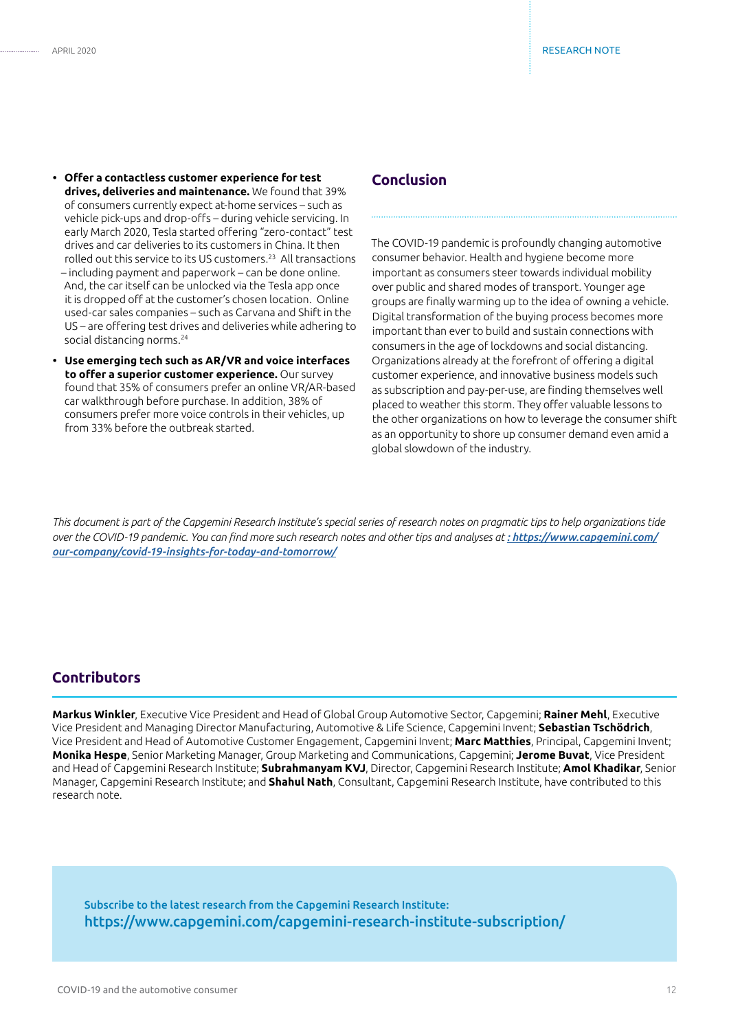- **• Offer a contactless customer experience for test drives, deliveries and maintenance.** We found that 39% of consumers currently expect at-home services – such as vehicle pick-ups and drop-offs – during vehicle servicing. In early March 2020, Tesla started offering "zero-contact" test drives and car deliveries to its customers in China. It then rolled out this service to its US customers.23 All transactions – including payment and paperwork – can be done online. And, the car itself can be unlocked via the Tesla app once it is dropped off at the customer's chosen location. Online used-car sales companies – such as Carvana and Shift in the US – are offering test drives and deliveries while adhering to social distancing norms.<sup>24</sup>
- **• Use emerging tech such as AR/VR and voice interfaces to offer a superior customer experience.** Our survey found that 35% of consumers prefer an online VR/AR-based car walkthrough before purchase. In addition, 38% of consumers prefer more voice controls in their vehicles, up from 33% before the outbreak started.

## **Conclusion**

The COVID-19 pandemic is profoundly changing automotive consumer behavior. Health and hygiene become more important as consumers steer towards individual mobility over public and shared modes of transport. Younger age groups are finally warming up to the idea of owning a vehicle. Digital transformation of the buying process becomes more important than ever to build and sustain connections with consumers in the age of lockdowns and social distancing. Organizations already at the forefront of offering a digital customer experience, and innovative business models such as subscription and pay-per-use, are finding themselves well placed to weather this storm. They offer valuable lessons to the other organizations on how to leverage the consumer shift as an opportunity to shore up consumer demand even amid a global slowdown of the industry.

*This document is part of the Capgemini Research Institute's special series of research notes on pragmatic tips to help organizations tide over the COVID-19 pandemic. You can find more such research notes and other tips and analyses at : [https://www.capgemini.com/](https://www.capgemini.com/our-company/covid-19-insights-for-today-and-tomorrow/) [our-company/covid-19-insights-for-today-and-tomorrow/](https://www.capgemini.com/our-company/covid-19-insights-for-today-and-tomorrow/)*

## **Contributors**

**Markus Winkler**, Executive Vice President and Head of Global Group Automotive Sector, Capgemini; **Rainer Mehl**, Executive Vice President and Managing Director Manufacturing, Automotive & Life Science, Capgemini Invent; **Sebastian Tschödrich**, Vice President and Head of Automotive Customer Engagement, Capgemini Invent; **Marc Matthies**, Principal, Capgemini Invent; **Monika Hespe**, Senior Marketing Manager, Group Marketing and Communications, Capgemini; **Jerome Buvat**, Vice President and Head of Capgemini Research Institute; **Subrahmanyam KVJ**, Director, Capgemini Research Institute; **Amol Khadikar**, Senior Manager, Capgemini Research Institute; and **Shahul Nath**, Consultant, Capgemini Research Institute, have contributed to this research note.

Subscribe to the latest research from the Capgemini Research Institute: https://www.capgemini.com/capgemini-research-institute-subscription/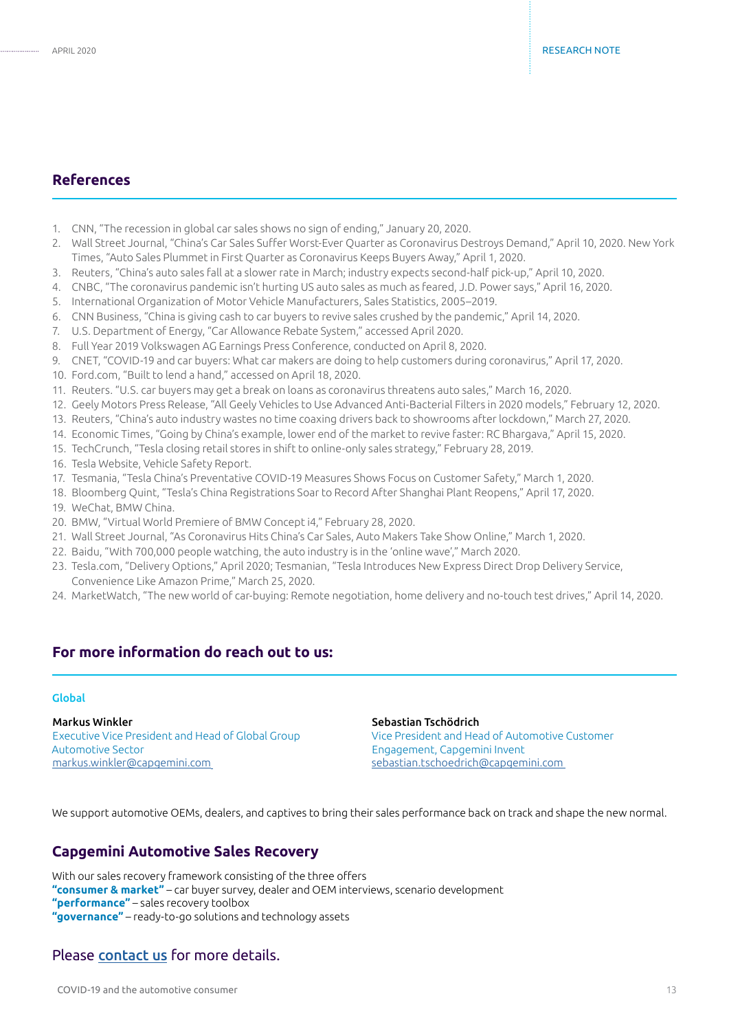## **References**

- 1. CNN, "The recession in global car sales shows no sign of ending," January 20, 2020.
- 2. Wall Street Journal, "China's Car Sales Suffer Worst-Ever Quarter as Coronavirus Destroys Demand," April 10, 2020. New York Times, "Auto Sales Plummet in First Quarter as Coronavirus Keeps Buyers Away," April 1, 2020.
- 3. Reuters, "China's auto sales fall at a slower rate in March; industry expects second-half pick-up," April 10, 2020.
- 4. CNBC, "The coronavirus pandemic isn't hurting US auto sales as much as feared, J.D. Power says," April 16, 2020.
- 5. International Organization of Motor Vehicle Manufacturers, Sales Statistics, 2005–2019.
- 6. CNN Business, "China is giving cash to car buyers to revive sales crushed by the pandemic," April 14, 2020.
- 7. U.S. Department of Energy, "Car Allowance Rebate System," accessed April 2020.
- 8. Full Year 2019 Volkswagen AG Earnings Press Conference, conducted on April 8, 2020.
- 9. CNET, "COVID-19 and car buyers: What car makers are doing to help customers during coronavirus," April 17, 2020.
- 10. Ford.com, "Built to lend a hand," accessed on April 18, 2020.
- 11. Reuters. "U.S. car buyers may get a break on loans as coronavirus threatens auto sales," March 16, 2020.
- 12. Geely Motors Press Release, "All Geely Vehicles to Use Advanced Anti-Bacterial Filters in 2020 models," February 12, 2020.
- 13. Reuters, "China's auto industry wastes no time coaxing drivers back to showrooms after lockdown," March 27, 2020.
- 14. Economic Times, "Going by China's example, lower end of the market to revive faster: RC Bhargava," April 15, 2020.
- 15. TechCrunch, "Tesla closing retail stores in shift to online-only sales strategy," February 28, 2019.
- 16. Tesla Website, Vehicle Safety Report.
- 17. Tesmania, "Tesla China's Preventative COVID-19 Measures Shows Focus on Customer Safety," March 1, 2020.
- 18. Bloomberg Quint, "Tesla's China Registrations Soar to Record After Shanghai Plant Reopens," April 17, 2020.
- 19. WeChat, BMW China.
- 20. BMW, "Virtual World Premiere of BMW Concept i4," February 28, 2020.
- 21. Wall Street Journal, "As Coronavirus Hits China's Car Sales, Auto Makers Take Show Online," March 1, 2020.
- 22. Baidu, "With 700,000 people watching, the auto industry is in the 'online wave'," March 2020.
- 23. Tesla.com, "Delivery Options," April 2020; Tesmanian, "Tesla Introduces New Express Direct Drop Delivery Service, Convenience Like Amazon Prime," March 25, 2020.
- 24. MarketWatch, "The new world of car-buying: Remote negotiation, home delivery and no-touch test drives," April 14, 2020.

# **For more information do reach out to us:**

#### Global

Markus Winkler Executive Vice President and Head of Global Group Automotive Sector markus.winkler@capgemini.com

#### Sebastian Tschödrich

Vice President and Head of Automotive Customer Engagement, Capgemini Invent sebastian.tschoedrich@capgemini.com

We support automotive OEMs, dealers, and captives to bring their sales performance back on track and shape the new normal.

## **Capgemini Automotive Sales Recovery**

With our sales recovery framework consisting of the three offers **"consumer & market"** – car buyer survey, dealer and OEM interviews, scenario development **"performance"** – sales recovery toolbox **"governance"** – ready-to-go solutions and technology assets

### Please **[contact us](mailto:sebastian.tschoedrich%40capgemini.com?subject=)** for more details.